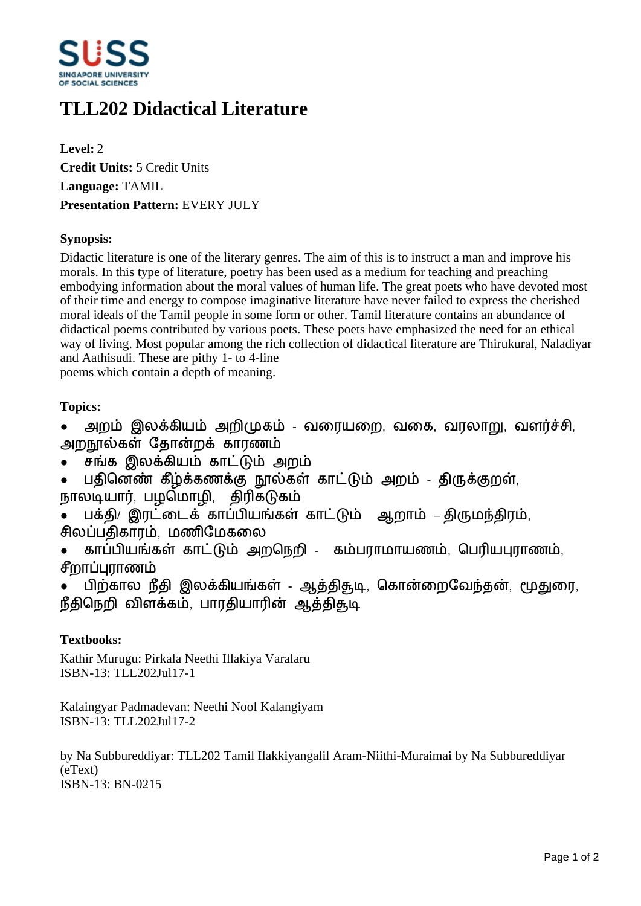

# **TLL202 Didactical Literature**

**Level:** 2 **Credit Units:** 5 Credit Units **Language:** TAMIL **Presentation Pattern:** EVERY JULY

### **Synopsis:**

Didactic literature is one of the literary genres. The aim of this is to instruct a man and improve his morals. In this type of literature, poetry has been used as a medium for teaching and preaching embodying information about the moral values of human life. The great poets who have devoted most of their time and energy to compose imaginative literature have never failed to express the cherished moral ideals of the Tamil people in some form or other. Tamil literature contains an abundance of didactical poems contributed by various poets. These poets have emphasized the need for an ethical way of living. Most popular among the rich collection of didactical literature are Thirukural, Naladiyar and Aathisudi. These are pithy 1- to 4-line

poems which contain a depth of meaning.

## **Topics:**

- அறம் இலக்கியம் அறிமுகம் வரையறை, வகை, வரலாறு, வளர்ச்சி, அறநால்கள் கோன்றக் காாணம்
- சங்க இலக்கியம் காட்டும் அறம்
- பதினெண் கீழ்க்கணக்கு நூல்கள் காட்டும் அறம் திருக்குறள், நாலடியார், பழமொழி, திரிகடுகம்
- பக்தி/ இரட்டைக் காப்பியங்கள் காட்டும் ஆறாம் திருமந்திரம், சிலப்பதிகாரம், மணிமேகலை
- காப்பியங்கள் காட்டும் அறநெறி கம்பராமாயணம், பெரியபுராணம், சீறாப்புராணம்

பிற்கால நீதி இலக்கியங்கள் - ஆத்திதுடி, கொன்றைவேந்தன், மூதுரை, நீதிநெறி விளக்கம், பாரதியாரின் ஆத்திதூடி

## **Textbooks:**

Kathir Murugu: Pirkala Neethi Illakiya Varalaru ISBN-13: TLL202Jul17-1

Kalaingyar Padmadevan: Neethi Nool Kalangiyam ISBN-13: TLL202Jul17-2

by Na Subbureddiyar: TLL202 Tamil Ilakkiyangalil Aram-Niithi-Muraimai by Na Subbureddiyar (eText) ISBN-13: BN-0215